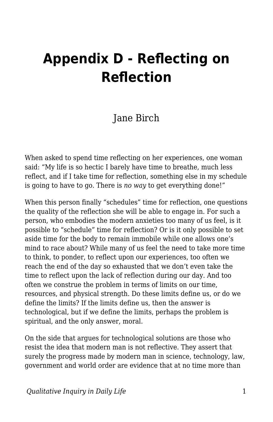## **Appendix D - Reflecting on Reflection**

## Jane Birch

When asked to spend time reflecting on her experiences, one woman said: "My life is so hectic I barely have time to breathe, much less reflect, and if I take time for reflection, something else in my schedule is going to have to go. There is *no way* to get everything done!"

When this person finally "schedules" time for reflection, one questions the quality of the reflection she will be able to engage in. For such a person, who embodies the modern anxieties too many of us feel, is it possible to "schedule" time for reflection? Or is it only possible to set aside time for the body to remain immobile while one allows one's mind to race about? While many of us feel the need to take more time to think, to ponder, to reflect upon our experiences, too often we reach the end of the day so exhausted that we don't even take the time to reflect upon the lack of reflection during our day. And too often we construe the problem in terms of limits on our time, resources, and physical strength. Do these limits define us, or do we define the limits? If the limits define us, then the answer is technological, but if we define the limits, perhaps the problem is spiritual, and the only answer, moral.

On the side that argues for technological solutions are those who resist the idea that modern man is not reflective. They assert that surely the progress made by modern man in science, technology, law, government and world order are evidence that at no time more than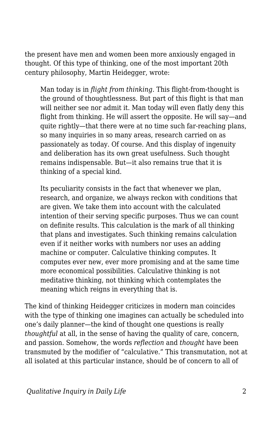the present have men and women been more anxiously engaged in thought. Of this type of thinking, one of the most important 20th century philosophy, Martin Heidegger, wrote:

Man today is in *flight from thinking*. This flight-from-thought is the ground of thoughtlessness. But part of this flight is that man will neither see nor admit it. Man today will even flatly deny this flight from thinking. He will assert the opposite. He will say—and quite rightly—that there were at no time such far-reaching plans, so many inquiries in so many areas, research carried on as passionately as today. Of course. And this display of ingenuity and deliberation has its own great usefulness. Such thought remains indispensable. But—it also remains true that it is thinking of a special kind.

Its peculiarity consists in the fact that whenever we plan, research, and organize, we always reckon with conditions that are given. We take them into account with the calculated intention of their serving specific purposes. Thus we can count on definite results. This calculation is the mark of all thinking that plans and investigates. Such thinking remains calculation even if it neither works with numbers nor uses an adding machine or computer. Calculative thinking computes. It computes ever new, ever more promising and at the same time more economical possibilities. Calculative thinking is not meditative thinking, not thinking which contemplates the meaning which reigns in everything that is.

The kind of thinking Heidegger criticizes in modern man coincides with the type of thinking one imagines can actually be scheduled into one's daily planner—the kind of thought one questions is really *thoughtful* at all, in the sense of having the quality of care, concern, and passion. Somehow, the words *reflection* and *thought* have been transmuted by the modifier of "calculative." This transmutation, not at all isolated at this particular instance, should be of concern to all of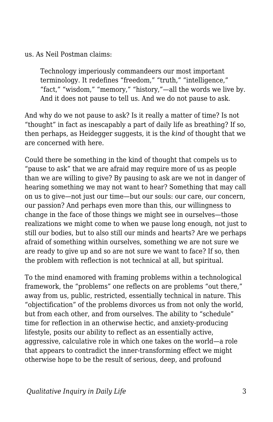us. As Neil Postman claims:

Technology imperiously commandeers our most important terminology. It redefines "freedom," "truth," "intelligence," "fact," "wisdom," "memory," "history,"—all the words we live by. And it does not pause to tell us. And we do not pause to ask.

And why do we not pause to ask? Is it really a matter of time? Is not "thought" in fact as inescapably a part of daily life as breathing? If so, then perhaps, as Heidegger suggests, it is the *kind* of thought that we are concerned with here.

Could there be something in the kind of thought that compels us to "pause to ask" that we are afraid may require more of us as people than we are willing to give? By pausing to ask are we not in danger of hearing something we may not want to hear? Something that may call on us to give—not just our time—but our souls: our care, our concern, our passion? And perhaps even more than this, our willingness to change in the face of those things we might see in ourselves—those realizations we might come to when we pause long enough, not just to still our bodies, but to also still our minds and hearts? Are we perhaps afraid of something within ourselves, something we are not sure we are ready to give up and so are not sure we want to face? If so, then the problem with reflection is not technical at all, but spiritual.

To the mind enamored with framing problems within a technological framework, the "problems" one reflects on are problems "out there," away from us, public, restricted, essentially technical in nature. This "objectification" of the problems divorces us from not only the world, but from each other, and from ourselves. The ability to "schedule" time for reflection in an otherwise hectic, and anxiety-producing lifestyle, posits our ability to reflect as an essentially active, aggressive, calculative role in which one takes on the world—a role that appears to contradict the inner-transforming effect we might otherwise hope to be the result of serious, deep, and profound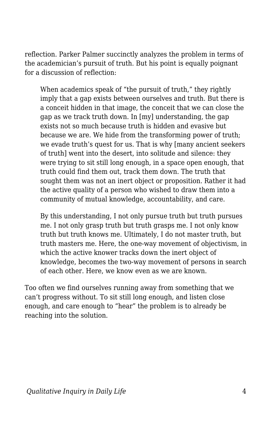reflection. Parker Palmer succinctly analyzes the problem in terms of the academician's pursuit of truth. But his point is equally poignant for a discussion of reflection:

When academics speak of "the pursuit of truth," they rightly imply that a gap exists between ourselves and truth. But there is a conceit hidden in that image, the conceit that we can close the gap as we track truth down. In [my] understanding, the gap exists not so much because truth is hidden and evasive but because we are. We hide from the transforming power of truth; we evade truth's quest for us. That is why [many ancient seekers of truth] went into the desert, into solitude and silence: they were trying to sit still long enough, in a space open enough, that truth could find them out, track them down. The truth that sought them was not an inert object or proposition. Rather it had the active quality of a person who wished to draw them into a community of mutual knowledge, accountability, and care.

By this understanding, I not only pursue truth but truth pursues me. I not only grasp truth but truth grasps me. I not only know truth but truth knows me. Ultimately, I do not master truth, but truth masters me. Here, the one-way movement of objectivism, in which the active knower tracks down the inert object of knowledge, becomes the two-way movement of persons in search of each other. Here, we know even as we are known.

Too often we find ourselves running away from something that we can't progress without. To sit still long enough, and listen close enough, and care enough to "hear" the problem is to already be reaching into the solution.